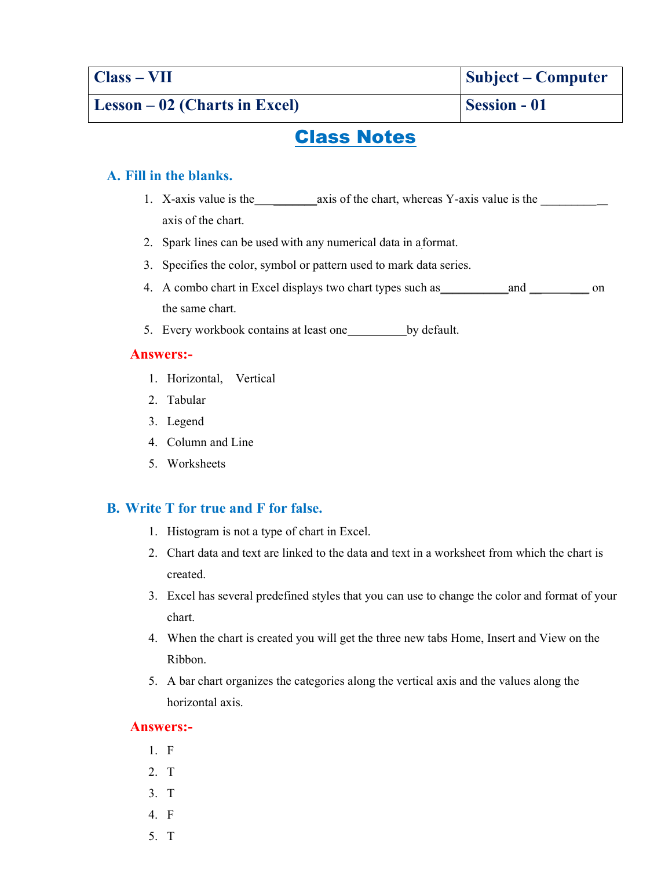Class – VII Subject – Computer

# Class Notes

## A. Fill in the blanks.

- 1. X-axis value is the \_\_\_\_\_\_\_axis of the chart, whereas Y-axis value is the \_\_\_\_\_\_\_\_\_ axis of the chart.
- 2. Spark lines can be used with any numerical data in a format.
- 3. Specifies the color, symbol or pattern used to mark data series.
- 4. A combo chart in Excel displays two chart types such as\_\_\_\_\_\_\_\_\_\_\_and \_\_ \_\_\_ on the same chart.
- 5. Every workbook contains at least one by default.

### Answers:-

- 1. Horizontal, Vertical
- 2. Tabular
- 3. Legend
- 4. Column and Line
- 5. Worksheets

### B. Write T for true and F for false.

- 1. Histogram is not a type of chart in Excel.
- 2. Chart data and text are linked to the data and text in a worksheet from which the chart is created.
- 3. Excel has several predefined styles that you can use to change the color and format of your chart.
- 4. When the chart is created you will get the three new tabs Home, Insert and View on the Ribbon.
- 5. A bar chart organizes the categories along the vertical axis and the values along the horizontal axis.

### Answers:-

- 1. F
- 2. T
- 3. T
- 4. F
- 5. T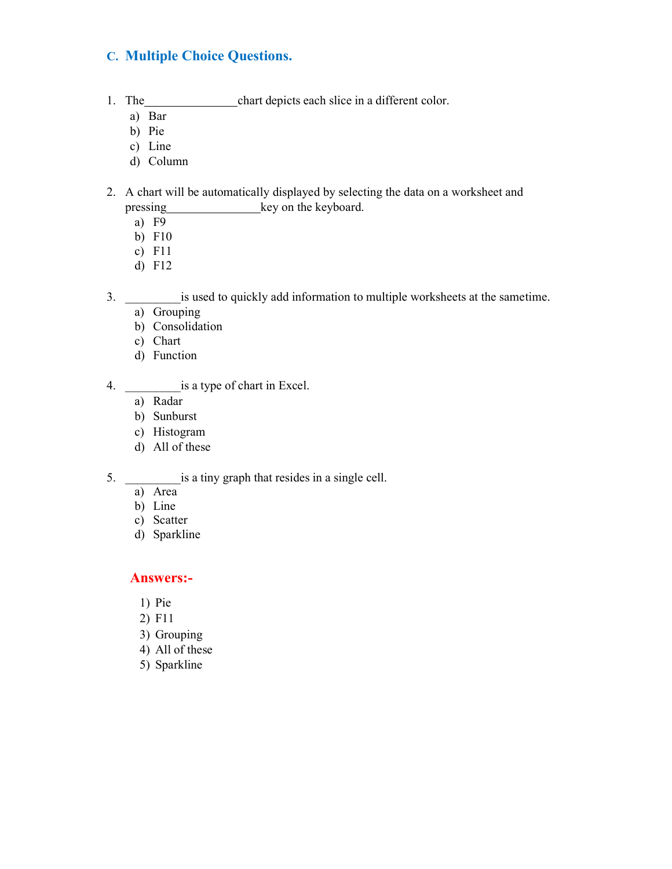# C. Multiple Choice Questions.

- 1. The chart depicts each slice in a different color.
	- a) Bar
	- b) Pie
	- c) Line
	- d) Column
- 2. A chart will be automatically displayed by selecting the data on a worksheet and pressing key on the keyboard.
	- a) F9
	- b) F10
	- c) F11
	- d) F12
- 3. \_\_\_\_\_\_\_\_\_is used to quickly add information to multiple worksheets at the same time.
	- a) Grouping
	- b) Consolidation
	- c) Chart
	- d) Function

4. \_\_\_\_\_\_\_\_\_is a type of chart in Excel.

- a) Radar
- b) Sunburst
- c) Histogram
- d) All of these

5.  $\qquad \qquad$  \_ is a tiny graph that resides in a single cell.

- a) Area
- b) Line
- c) Scatter
- d) Sparkline

#### Answers:-

- 1) Pie
- 2) F11
- 3) Grouping
- 4) All of these
- 5) Sparkline